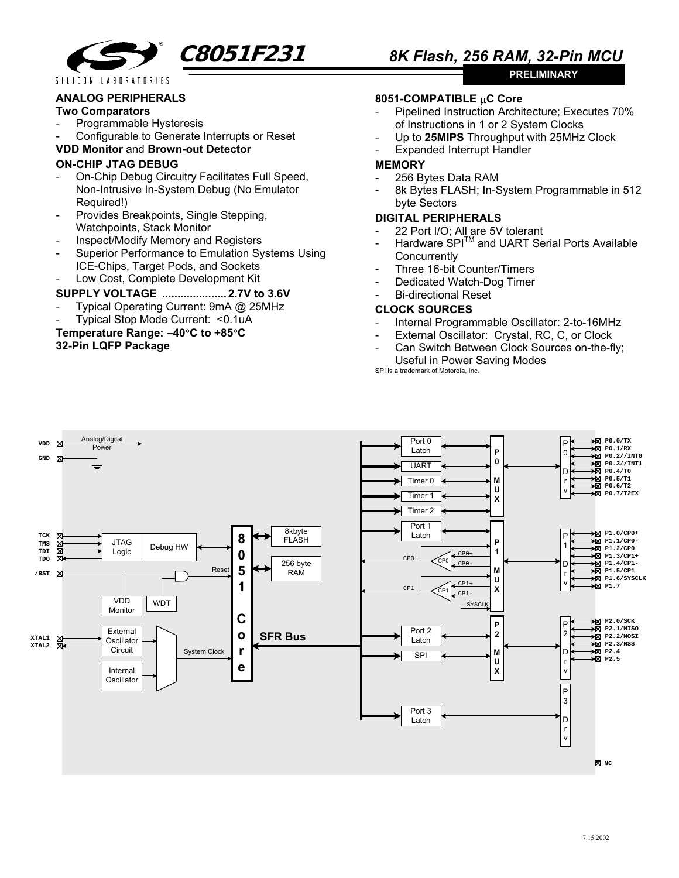

**PRELIMINARY** 

## **ANALOG PERIPHERALS**

#### **Two Comparators**

- Programmable Hysteresis
- Configurable to Generate Interrupts or Reset

## **VDD Monitor** and **Brown-out Detector**

## **ON-CHIP JTAG DEBUG**

- On-Chip Debug Circuitry Facilitates Full Speed, Non-Intrusive In-System Debug (No Emulator Required!)
- Provides Breakpoints, Single Stepping, Watchpoints, Stack Monitor
- Inspect/Modify Memory and Registers
- Superior Performance to Emulation Systems Using ICE-Chips, Target Pods, and Sockets
- Low Cost, Complete Development Kit

## **SUPPLY VOLTAGE ..................... 2.7V to 3.6V**

- Typical Operating Current: 9mA @ 25MHz
- Typical Stop Mode Current: <0.1uA

# **Temperature Range: –40**°**C to +85**°**C 32-Pin LQFP Package**

### **8051-COMPATIBLE** µ**C Core**

- Pipelined Instruction Architecture: Executes 70% of Instructions in 1 or 2 System Clocks
- Up to **25MIPS** Throughput with 25MHz Clock
- **Expanded Interrupt Handler**

#### **MEMORY**

- 256 Bytes Data RAM
- 8k Bytes FLASH; In-System Programmable in 512 byte Sectors

## **DIGITAL PERIPHERALS**

- 22 Port I/O; All are 5V tolerant
- Hardware SPI™ and UART Serial Ports Available **Concurrently**
- Three 16-bit Counter/Timers
- Dedicated Watch-Dog Timer
- Bi-directional Reset

### **CLOCK SOURCES**

- Internal Programmable Oscillator: 2-to-16MHz
- External Oscillator: Crystal, RC, C, or Clock
- Can Switch Between Clock Sources on-the-fly; Useful in Power Saving Modes SPI is a trademark of Motorola, Inc.